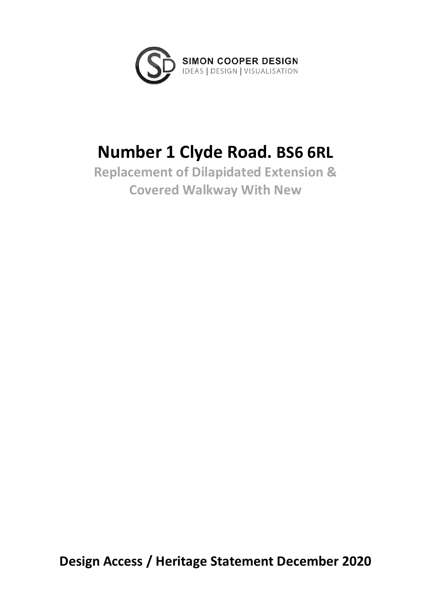

# **Number 1 Clyde Road. BS6 6RL**

**Replacement of Dilapidated Extension & Covered Walkway With New**

**Design Access / Heritage Statement December 2020**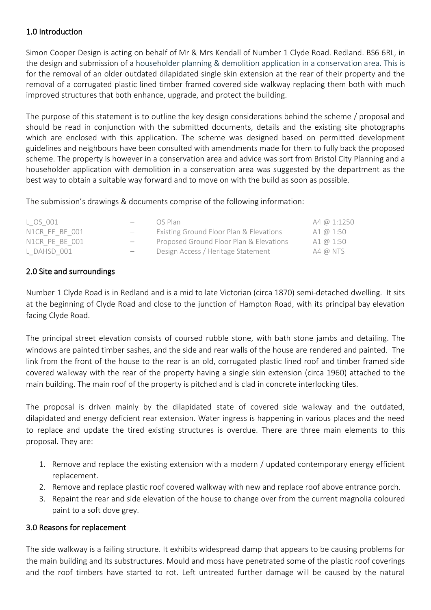## 1.0 Introduction

Simon Cooper Design is acting on behalf of Mr & Mrs Kendall of Number 1 Clyde Road. Redland. BS6 6RL, in the design and submission of a householder planning & demolition application in a conservation area. This is for the removal of an older outdated dilapidated single skin extension at the rear of their property and the removal of a corrugated plastic lined timber framed covered side walkway replacing them both with much improved structures that both enhance, upgrade, and protect the building.

The purpose of this statement is to outline the key design considerations behind the scheme / proposal and should be read in conjunction with the submitted documents, details and the existing site photographs which are enclosed with this application. The scheme was designed based on permitted development guidelines and neighbours have been consulted with amendments made for them to fully back the proposed scheme. The property is however in a conservation area and advice was sort from Bristol City Planning and a householder application with demolition in a conservation area was suggested by the department as the best way to obtain a suitable way forward and to move on with the build as soon as possible.

The submission's drawings & documents comprise of the following information:

| L OS 001       | OS Plan                                 | A4 @ 1:1250 |
|----------------|-----------------------------------------|-------------|
| N1CR EE BE 001 | Existing Ground Floor Plan & Elevations | A1 @ 1:50   |
| N1CR PE BE 001 | Proposed Ground Floor Plan & Elevations | A1 @ 1:50   |
| L DAHSD 001    | Design Access / Heritage Statement      | $A4$ @ NTS  |
|                |                                         |             |

## 2.0 Site and surroundings

Number 1 Clyde Road is in Redland and is a mid to late Victorian (circa 1870) semi-detached dwelling. It sits at the beginning of Clyde Road and close to the junction of Hampton Road, with its principal bay elevation facing Clyde Road.

The principal street elevation consists of coursed rubble stone, with bath stone jambs and detailing. The windows are painted timber sashes, and the side and rear walls of the house are rendered and painted. The link from the front of the house to the rear is an old, corrugated plastic lined roof and timber framed side covered walkway with the rear of the property having a single skin extension (circa 1960) attached to the main building. The main roof of the property is pitched and is clad in concrete interlocking tiles.

The proposal is driven mainly by the dilapidated state of covered side walkway and the outdated, dilapidated and energy deficient rear extension. Water ingress is happening in various places and the need to replace and update the tired existing structures is overdue. There are three main elements to this proposal. They are:

- 1. Remove and replace the existing extension with a modern / updated contemporary energy efficient replacement.
- 2. Remove and replace plastic roof covered walkway with new and replace roof above entrance porch.
- 3. Repaint the rear and side elevation of the house to change over from the current magnolia coloured paint to a soft dove grey.

#### 3.0 Reasons for replacement

The side walkway is a failing structure. It exhibits widespread damp that appears to be causing problems for the main building and its substructures. Mould and moss have penetrated some of the plastic roof coverings and the roof timbers have started to rot. Left untreated further damage will be caused by the natural